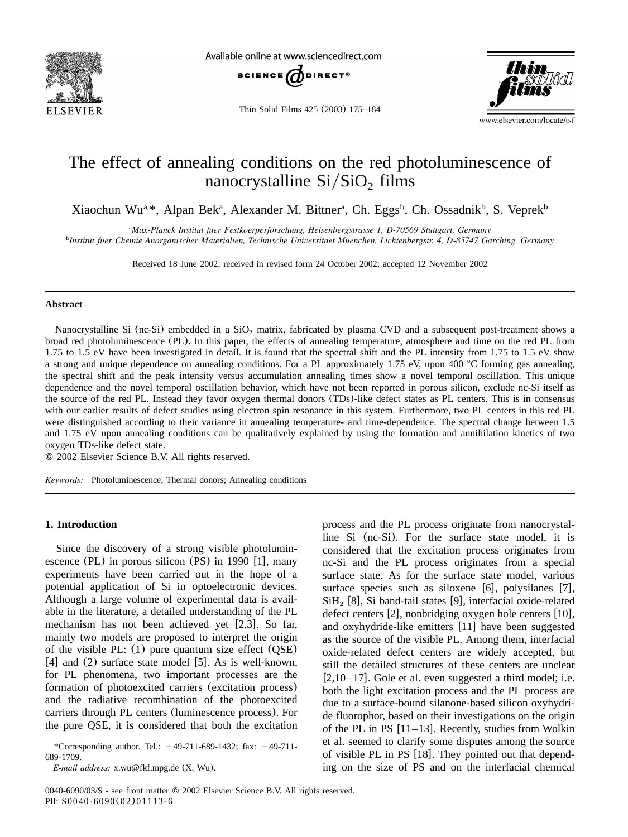<span id="page-0-0"></span>

Available online at www.sciencedirect.com



Thin Solid Films 425 (2003) 175–184



# The effect of annealing conditions on the red photoluminescence of nanocrystalline  $Si/SiO<sub>2</sub>$  films

Xiaochun Wu<sup>a,\*</sup>, Alpan Bek<sup>a</sup>, Alexander M. Bittner<sup>a</sup>, Ch. Eggs<sup>b</sup>, Ch. Ossadnik<sup>b</sup>, S. Veprek<sup>b</sup>

*Max-Planck Institut fuer Festkoerperforschung, Heisenbergstrasse 1, D-70569 Stuttgart, Germany* <sup>a</sup> *Institut fuer Chemie Anorganischer Materialien, Technische Universitaet Muenchen, Lichtenbergstr. 4, D-85747 Garching, Germany* <sup>b</sup>

Received 18 June 2002; received in revised form 24 October 2002; accepted 12 November 2002

#### **Abstract**

Nanocrystalline Si (nc-Si) embedded in a SiO<sub>2</sub> matrix, fabricated by plasma CVD and a subsequent post-treatment shows a broad red photoluminescence (PL). In this paper, the effects of annealing temperature, atmosphere and time on the red PL from 1.75 to 1.5 eV have been investigated in detail. It is found that the spectral shift and the PL intensity from 1.75 to 1.5 eV show a strong and unique dependence on annealing conditions. For a PL approximately 1.75 eV, upon 400  $^{\circ}$ C forming gas annealing, the spectral shift and the peak intensity versus accumulation annealing times show a novel temporal oscillation. This unique dependence and the novel temporal oscillation behavior, which have not been reported in porous silicon, exclude nc-Si itself as the source of the red PL. Instead they favor oxygen thermal donors (TDs)-like defect states as PL centers. This is in consensus with our earlier results of defect studies using electron spin resonance in this system. Furthermore, two PL centers in this red PL were distinguished according to their variance in annealing temperature- and time-dependence. The spectral change between 1.5 and 1.75 eV upon annealing conditions can be qualitatively explained by using the formation and annihilation kinetics of two oxygen TDs-like defect state.

2002 Elsevier Science B.V. All rights reserved.

*Keywords:* Photoluminescence; Thermal donors; Annealing conditions

## **1. Introduction**

Since the discovery of a strong visible photolumin-escence (PL) in porous silicon (PS) in [1](#page-9-0)990  $[1]$ , many experiments have been carried out in the hope of a potential application of Si in optoelectronic devices. Although a large volume of experimental data is available in the literature, a detailed understanding of the PL mechanism has not been achieved yet  $[2,3]$  $[2,3]$  $[2,3]$ . So far, mainly two models are proposed to interpret the origin of the visible PL: (1) pure quantum size effect (QSE) [[4](#page-9-0)] and (2) surface state model [[5](#page-9-0)]. As is well-known, for PL phenomena, two important processes are the formation of photoexcited carriers (excitation process) and the radiative recombination of the photoexcited carriers through PL centers (luminescence process). For the pure QSE, it is considered that both the excitation

process and the PL process originate from nanocrystalline Si (nc-Si). For the surface state model, it is considered that the excitation process originates from nc-Si and the PL process originates from a special surface state. As for the surface state model, various surface species such as siloxene  $[6]$  $[6]$  $[6]$ , polysilanes  $[7]$  $[7]$  $[7]$ ,  $SiH<sub>2</sub>$  [[8](#page-9-0)], Si band-tail states [[9](#page-9-0)], interfacial oxide-related defect centers  $[2]$  $[2]$  $[2]$ , nonbridging oxygen hole centers  $[10]$  $[10]$  $[10]$ , and oxyhydride-like emitters  $[11]$  $[11]$  $[11]$  have been suggested as the source of the visible PL. Among them, interfacial oxide-related defect centers are widely accepted, but still the detailed structures of these centers are unclear  $[2,10-17]$ . Gole et al. even suggested a third model; i.e. both the light excitation process and the PL process are due to a surface-bound silanone-based silicon oxyhydride fluorophor, based on their investigations on the origin of the PL in PS  $[11–13]$  $[11–13]$  $[11–13]$ . Recently, studies from Wolkin et al. seemed to clarify some disputes among the source of visible PL in PS  $[18]$  $[18]$  $[18]$ . They pointed out that depending on the size of PS and on the interfacial chemical

<sup>\*</sup>Corresponding author. Tel.:  $+49-711-689-1432$ ; fax:  $+49-711-$ 689-1709.

*E-mail address:* x.wu@fkf.mpg.de (X. Wu).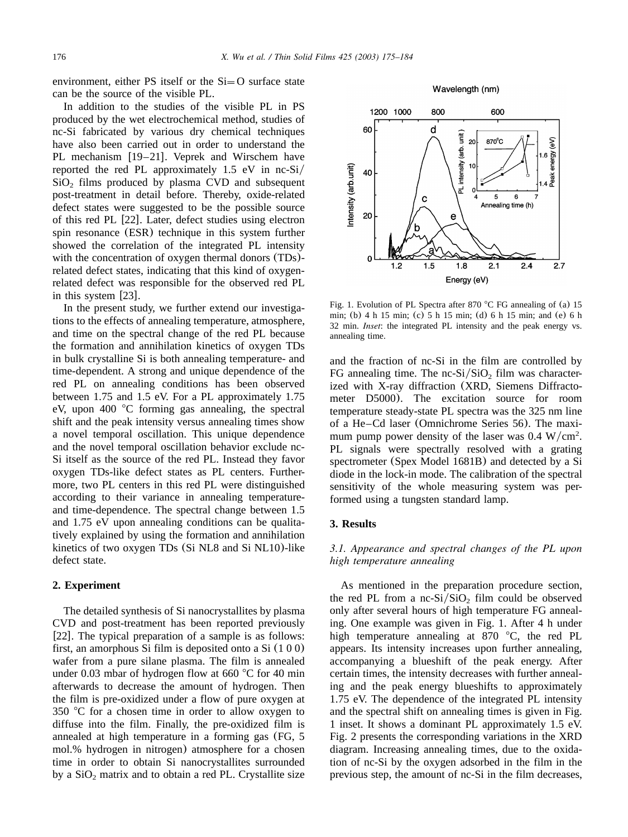<span id="page-1-0"></span>environment, either PS itself or the  $Si = O$  surface state can be the source of the visible PL.

In addition to the studies of the visible PL in PS produced by the wet electrochemical method, studies of nc-Si fabricated by various dry chemical techniques have also been carried out in order to understand the PL mechanism  $[19–21]$  $[19–21]$  $[19–21]$ . Veprek and Wirschem have reported the red PL approximately  $1.5$  eV in nc-Si $/$  $SiO<sub>2</sub>$  films produced by plasma CVD and subsequent post-treatment in detail before. Thereby, oxide-related defect states were suggested to be the possible source of this red PL [[22](#page-9-0)]. Later, defect studies using electron spin resonance (ESR) technique in this system further showed the correlation of the integrated PL intensity with the concentration of oxygen thermal donors (TDs) related defect states, indicating that this kind of oxygenrelated defect was responsible for the observed red PL in this system  $[23]$  $[23]$  $[23]$ .

In the present study, we further extend our investigations to the effects of annealing temperature, atmosphere, and time on the spectral change of the red PL because the formation and annihilation kinetics of oxygen TDs in bulk crystalline Si is both annealing temperature- and time-dependent. A strong and unique dependence of the red PL on annealing conditions has been observed between 1.75 and 1.5 eV. For a PL approximately 1.75 eV, upon  $400\degree$ C forming gas annealing, the spectral shift and the peak intensity versus annealing times show a novel temporal oscillation. This unique dependence and the novel temporal oscillation behavior exclude nc-Si itself as the source of the red PL. Instead they favor oxygen TDs-like defect states as PL centers. Furthermore, two PL centers in this red PL were distinguished according to their variance in annealing temperatureand time-dependence. The spectral change between 1.5 and 1.75 eV upon annealing conditions can be qualitatively explained by using the formation and annihilation kinetics of two oxygen TDs (Si NL8 and Si NL10)-like defect state.

#### **2. Experiment**

The detailed synthesis of Si nanocrystallites by plasma CVD and post-treatment has been reported previously [[22](#page-9-0)]. The typical preparation of a sample is as follows: first, an amorphous Si film is deposited onto a Si (100) wafer from a pure silane plasma. The film is annealed under 0.03 mbar of hydrogen flow at 660  $\degree$ C for 40 min afterwards to decrease the amount of hydrogen. Then the film is pre-oxidized under a flow of pure oxygen at  $350$  °C for a chosen time in order to allow oxygen to diffuse into the film. Finally, the pre-oxidized film is annealed at high temperature in a forming gas (FG, 5 mol.% hydrogen in nitrogen) atmosphere for a chosen time in order to obtain Si nanocrystallites surrounded by a  $SiO<sub>2</sub>$  matrix and to obtain a red PL. Crystallite size





Fig. 1. Evolution of PL Spectra after 870  $^{\circ}$ C FG annealing of (a) 15 min; (b) 4 h 15 min; (c) 5 h 15 min; (d) 6 h 15 min; and (e) 6 h 32 min. *Inset*: the integrated PL intensity and the peak energy vs. annealing time.

and the fraction of nc-Si in the film are controlled by FG annealing time. The nc- $Si/SiO<sub>2</sub>$  film was characterized with X-ray diffraction (XRD, Siemens Diffractometer D5000). The excitation source for room temperature steady-state PL spectra was the 325 nm line of a He–Cd laser (Omnichrome Series 56). The maximum pump power density of the laser was  $0.4 \text{ W/cm}^2$ . PL signals were spectrally resolved with a grating spectrometer (Spex Model 1681B) and detected by a Si diode in the lock-in mode. The calibration of the spectral sensitivity of the whole measuring system was performed using a tungsten standard lamp.

## **3. Results**

## *3.1. Appearance and spectral changes of the PL upon high temperature annealing*

As mentioned in the preparation procedure section, the red PL from a nc-Si $\sin 2\theta$  film could be observed only after several hours of high temperature FG annealing. One example was given in Fig. 1. After 4 h under high temperature annealing at  $870$  °C, the red PL appears. Its intensity increases upon further annealing, accompanying a blueshift of the peak energy. After certain times, the intensity decreases with further annealing and the peak energy blueshifts to approximately 1.75 eV. The dependence of the integrated PL intensity and the spectral shift on annealing times is given in Fig. 1 inset. It shows a dominant PL approximately 1.5 eV. [Fig. 2](#page-2-0) presents the corresponding variations in the XRD diagram. Increasing annealing times, due to the oxidation of nc-Si by the oxygen adsorbed in the film in the previous step, the amount of nc-Si in the film decreases,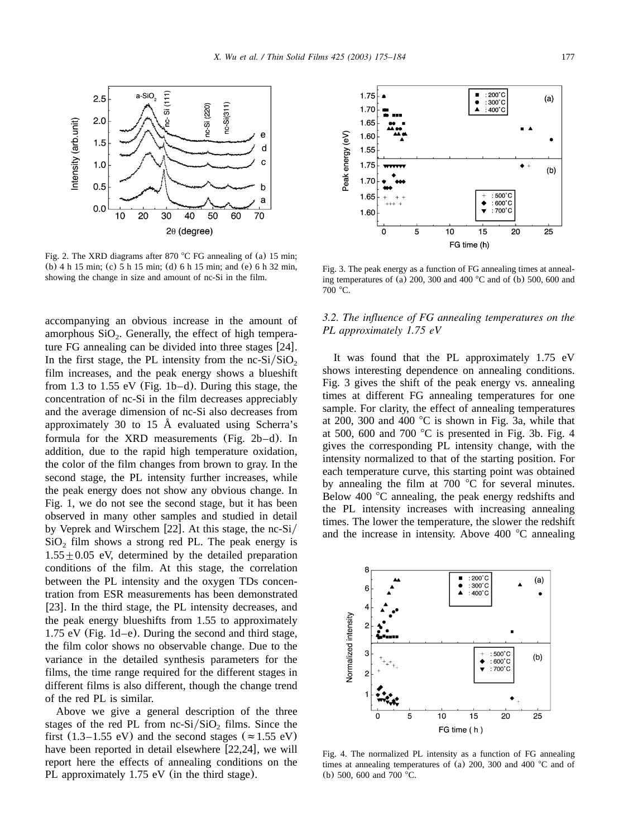<span id="page-2-0"></span>

Fig. 2. The XRD diagrams after 870  $\degree$ C FG annealing of (a) 15 min; (b) 4 h 15 min; (c) 5 h 15 min; (d) 6 h 15 min; and (e) 6 h 32 min, showing the change in size and amount of nc-Si in the film.

accompanying an obvious increase in the amount of amorphous  $SiO<sub>2</sub>$ . Generally, the effect of high temperature FG annealing can be divided into three stages  $[24]$  $[24]$  $[24]$ . In the first stage, the PL intensity from the  $nc-Si/SiO<sub>2</sub>$ film increases, and the peak energy shows a blueshift from 1.3 to 1.55 eV ([Fig. 1b](#page-1-0)–d). During this stage, the concentration of nc-Si in the film decreases appreciably and the average dimension of nc-Si also decreases from approximately 30 to 15 Å evaluated using Scherra's formula for the XRD measurements (Fig. 2b–d). In addition, due to the rapid high temperature oxidation, the color of the film changes from brown to gray. In the second stage, the PL intensity further increases, while the peak energy does not show any obvious change. In [Fig. 1,](#page-1-0) we do not see the second stage, but it has been observed in many other samples and studied in detail by Veprek and Wirschem [[22](#page-9-0)]. At this stage, the nc-Si $/$  $SiO<sub>2</sub>$  film shows a strong red PL. The peak energy is  $1.55 + 0.05$  eV, determined by the detailed preparation conditions of the film. At this stage, the correlation between the PL intensity and the oxygen TDs concentration from ESR measurements has been demonstrated [[23](#page-9-0)]. In the third stage, the PL intensity decreases, and the peak energy blueshifts from 1.55 to approximately 1.75 eV ([Fig. 1d](#page-1-0)–e). During the second and third stage, the film color shows no observable change. Due to the variance in the detailed synthesis parameters for the films, the time range required for the different stages in different films is also different, though the change trend of the red PL is similar.

Above we give a general description of the three stages of the red PL from nc-Si $\sin 2\theta_2$  films. Since the first  $(1.3-1.55 \text{ eV})$  and the second stages  $(\approx 1.55 \text{ eV})$ have been reported in detail elsewhere  $[22,24]$  $[22,24]$  $[22,24]$ , we will report here the effects of annealing conditions on the PL approximately 1.75 eV (in the third stage).



Fig. 3. The peak energy as a function of FG annealing times at annealing temperatures of (a) 200, 300 and 400  $^{\circ}$ C and of (b) 500, 600 and  $700 \degree C$ .

# *3.2. The influence of FG annealing temperatures on the PL approximately 1.75 eV*

It was found that the PL approximately 1.75 eV shows interesting dependence on annealing conditions. Fig. 3 gives the shift of the peak energy vs. annealing times at different FG annealing temperatures for one sample. For clarity, the effect of annealing temperatures at 200, 300 and 400  $^{\circ}$ C is shown in Fig. 3a, while that at 500, 600 and 700  $\degree$ C is presented in Fig. 3b. Fig. 4 gives the corresponding PL intensity change, with the intensity normalized to that of the starting position. For each temperature curve, this starting point was obtained by annealing the film at 700  $\degree$ C for several minutes. Below 400  $\degree$ C annealing, the peak energy redshifts and the PL intensity increases with increasing annealing times. The lower the temperature, the slower the redshift and the increase in intensity. Above  $400\degree C$  annealing



Fig. 4. The normalized PL intensity as a function of FG annealing times at annealing temperatures of (a) 200, 300 and 400  $^{\circ}$ C and of (b) 500, 600 and 700 °C.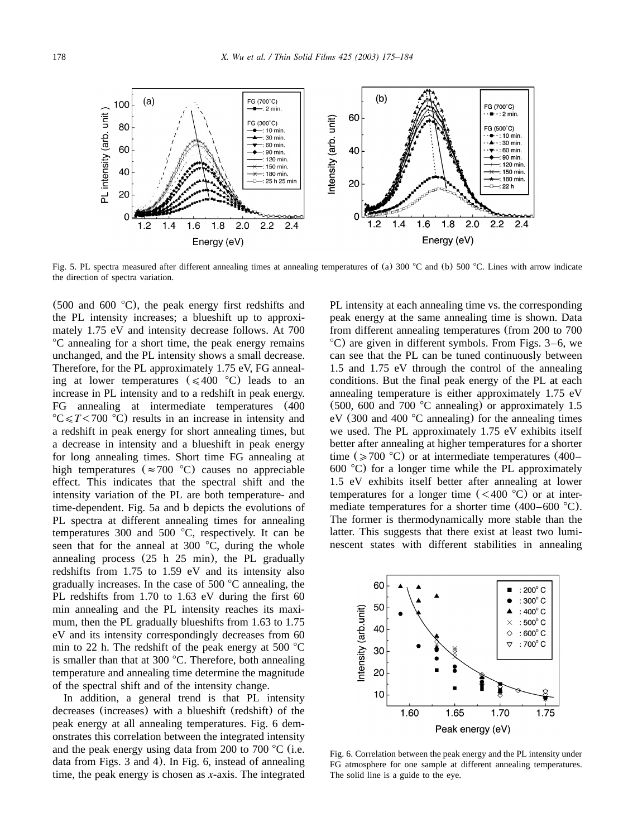<span id="page-3-0"></span>

Fig. 5. PL spectra measured after different annealing times at annealing temperatures of (a) 300  $^{\circ}$ C and (b) 500  $^{\circ}$ C. Lines with arrow indicate the direction of spectra variation.

(500 and 600  $^{\circ}$ C), the peak energy first redshifts and the PL intensity increases; a blueshift up to approximately 1.75 eV and intensity decrease follows. At 700 8C annealing for a short time, the peak energy remains unchanged, and the PL intensity shows a small decrease. Therefore, for the PL approximately 1.75 eV, FG annealing at lower temperatures ( $\leq 400$  °C) leads to an increase in PL intensity and to a redshift in peak energy. FG annealing at intermediate temperatures (400  ${}^{\circ}C \le T$  (700  ${}^{\circ}C$ ) results in an increase in intensity and a redshift in peak energy for short annealing times, but a decrease in intensity and a blueshift in peak energy for long annealing times. Short time FG annealing at high temperatures ( $\approx 700$  °C) causes no appreciable effect. This indicates that the spectral shift and the intensity variation of the PL are both temperature- and time-dependent. Fig. 5a and b depicts the evolutions of PL spectra at different annealing times for annealing temperatures 300 and 500  $^{\circ}$ C, respectively. It can be seen that for the anneal at 300  $\degree$ C, during the whole annealing process (25 h 25 min), the PL gradually redshifts from 1.75 to 1.59 eV and its intensity also gradually increases. In the case of  $500^{\circ}$ C annealing, the PL redshifts from 1.70 to 1.63 eV during the first 60 min annealing and the PL intensity reaches its maximum, then the PL gradually blueshifts from 1.63 to 1.75 eV and its intensity correspondingly decreases from 60 min to 22 h. The redshift of the peak energy at 500  $\degree$ C is smaller than that at  $300^{\circ}$ C. Therefore, both annealing temperature and annealing time determine the magnitude of the spectral shift and of the intensity change.

In addition, a general trend is that PL intensity decreases (increases) with a blueshift (redshift) of the peak energy at all annealing temperatures. Fig. 6 demonstrates this correlation between the integrated intensity and the peak energy using data from 200 to 700  $^{\circ}$ C (i.e. data from [Figs. 3 and 4](#page-2-0)). In Fig. 6, instead of annealing time, the peak energy is chosen as *x*-axis. The integrated PL intensity at each annealing time vs. the corresponding peak energy at the same annealing time is shown. Data from different annealing temperatures (from 200 to 700  $^{\circ}$ C) are given in different symbols. From [Figs. 3–6,](#page-2-0) we can see that the PL can be tuned continuously between 1.5 and 1.75 eV through the control of the annealing conditions. But the final peak energy of the PL at each annealing temperature is either approximately 1.75 eV (500, 600 and 700  $^{\circ}$ C annealing) or approximately 1.5 eV (300 and 400  $^{\circ}$ C annealing) for the annealing times we used. The PL approximately 1.75 eV exhibits itself better after annealing at higher temperatures for a shorter time ( $\geq 700$  °C) or at intermediate temperatures (400– 600  $^{\circ}$ C) for a longer time while the PL approximately 1.5 eV exhibits itself better after annealing at lower temperatures for a longer time  $(< 400 \degree C)$  or at intermediate temperatures for a shorter time  $(400-600 \degree C)$ . The former is thermodynamically more stable than the latter. This suggests that there exist at least two luminescent states with different stabilities in annealing



Fig. 6. Correlation between the peak energy and the PL intensity under FG atmosphere for one sample at different annealing temperatures. The solid line is a guide to the eye.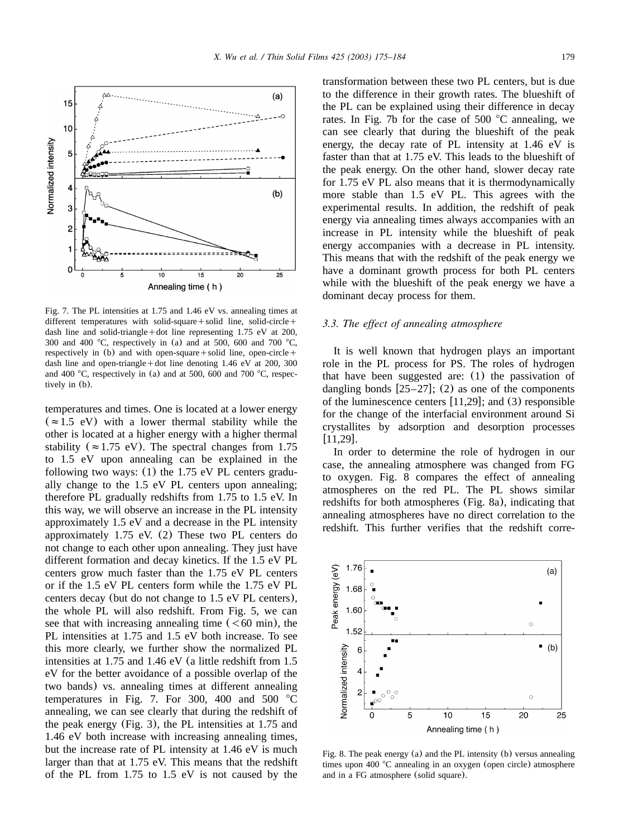<span id="page-4-0"></span>

Fig. 7. The PL intensities at 1.75 and 1.46 eV vs. annealing times at different temperatures with solid-square + solid line, solid-circle + dash line and solid-triangle + dot line representing  $1.75$  eV at 200, 300 and 400 °C, respectively in (a) and at 500, 600 and 700 °C, respectively in (b) and with open-square  $+$  solid line, open-circle  $+$ dash line and open-triangle + dot line denoting  $1.46$  eV at 200, 300 and 400  $^{\circ}$ C, respectively in (a) and at 500, 600 and 700  $^{\circ}$ C, respectively in (b).

temperatures and times. One is located at a lower energy  $(\approx 1.5 \text{ eV})$  with a lower thermal stability while the other is located at a higher energy with a higher thermal stability ( $\approx$  1.75 eV). The spectral changes from 1.75 to 1.5 eV upon annealing can be explained in the following two ways: (1) the 1.75 eV PL centers gradually change to the 1.5 eV PL centers upon annealing; therefore PL gradually redshifts from 1.75 to 1.5 eV. In this way, we will observe an increase in the PL intensity approximately 1.5 eV and a decrease in the PL intensity approximately 1.75 eV. (2) These two PL centers do not change to each other upon annealing. They just have different formation and decay kinetics. If the 1.5 eV PL centers grow much faster than the 1.75 eV PL centers or if the 1.5 eV PL centers form while the 1.75 eV PL centers decay (but do not change to 1.5 eV PL centers), the whole PL will also redshift. From [Fig. 5,](#page-3-0) we can see that with increasing annealing time  $( $60 \text{ min}$ ), the$ PL intensities at 1.75 and 1.5 eV both increase. To see this more clearly, we further show the normalized PL intensities at 1.75 and 1.46 eV (a little redshift from 1.5 eV for the better avoidance of a possible overlap of the two bands) vs. annealing times at different annealing temperatures in Fig. 7. For 300, 400 and 500  $^{\circ}$ C annealing, we can see clearly that during the redshift of the peak energy ([Fig. 3](#page-2-0)), the PL intensities at 1.75 and 1.46 eV both increase with increasing annealing times, but the increase rate of PL intensity at 1.46 eV is much larger than that at 1.75 eV. This means that the redshift of the PL from 1.75 to 1.5 eV is not caused by the

transformation between these two PL centers, but is due to the difference in their growth rates. The blueshift of the PL can be explained using their difference in decay rates. In Fig. 7b for the case of 500  $^{\circ}$ C annealing, we can see clearly that during the blueshift of the peak energy, the decay rate of PL intensity at 1.46 eV is faster than that at 1.75 eV. This leads to the blueshift of the peak energy. On the other hand, slower decay rate for 1.75 eV PL also means that it is thermodynamically more stable than 1.5 eV PL. This agrees with the experimental results. In addition, the redshift of peak energy via annealing times always accompanies with an increase in PL intensity while the blueshift of peak energy accompanies with a decrease in PL intensity. This means that with the redshift of the peak energy we have a dominant growth process for both PL centers while with the blueshift of the peak energy we have a dominant decay process for them.

## *3.3. The effect of annealing atmosphere*

It is well known that hydrogen plays an important role in the PL process for PS. The roles of hydrogen that have been suggested are: (1) the passivation of dangling bonds  $[25-27]$ ; (2) as one of the components of the luminescence centers  $[11,29]$  $[11,29]$  $[11,29]$ ; and  $(3)$  responsible for the change of the interfacial environment around Si crystallites by adsorption and desorption processes  $[11,29]$  $[11,29]$  $[11,29]$ .

In order to determine the role of hydrogen in our case, the annealing atmosphere was changed from FG to oxygen. Fig. 8 compares the effect of annealing atmospheres on the red PL. The PL shows similar redshifts for both atmospheres (Fig. 8a), indicating that annealing atmospheres have no direct correlation to the redshift. This further verifies that the redshift corre-



Fig. 8. The peak energy (a) and the PL intensity (b) versus annealing times upon 400 °C annealing in an oxygen (open circle) atmosphere and in a FG atmosphere (solid square).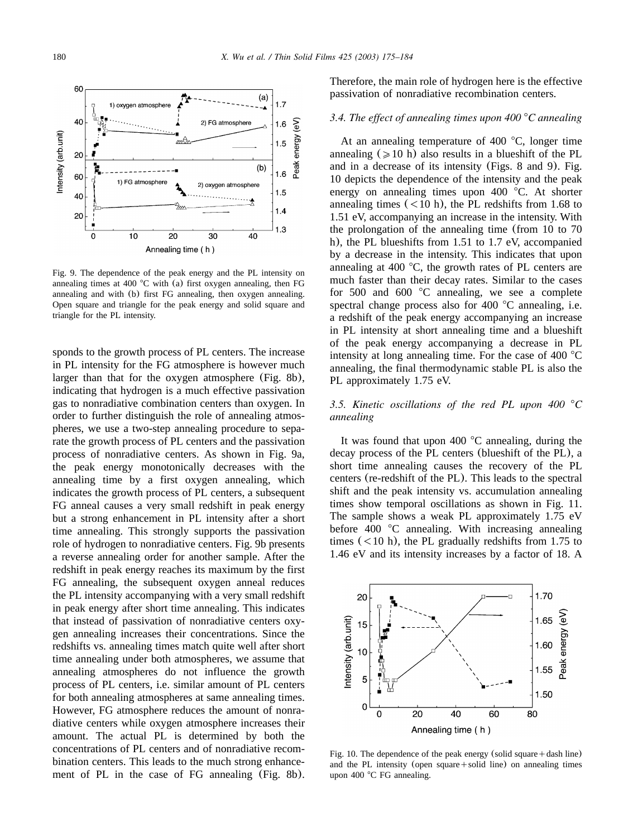<span id="page-5-0"></span>

Fig. 9. The dependence of the peak energy and the PL intensity on annealing times at 400  $^{\circ}$ C with (a) first oxygen annealing, then FG annealing and with (b) first FG annealing, then oxygen annealing. Open square and triangle for the peak energy and solid square and triangle for the PL intensity.

sponds to the growth process of PL centers. The increase in PL intensity for the FG atmosphere is however much larger than that for the oxygen atmosphere ([Fig. 8b](#page-4-0)), indicating that hydrogen is a much effective passivation gas to nonradiative combination centers than oxygen. In order to further distinguish the role of annealing atmospheres, we use a two-step annealing procedure to separate the growth process of PL centers and the passivation process of nonradiative centers. As shown in Fig. 9a, the peak energy monotonically decreases with the annealing time by a first oxygen annealing, which indicates the growth process of PL centers, a subsequent FG anneal causes a very small redshift in peak energy but a strong enhancement in PL intensity after a short time annealing. This strongly supports the passivation role of hydrogen to nonradiative centers. Fig. 9b presents a reverse annealing order for another sample. After the redshift in peak energy reaches its maximum by the first FG annealing, the subsequent oxygen anneal reduces the PL intensity accompanying with a very small redshift in peak energy after short time annealing. This indicates that instead of passivation of nonradiative centers oxygen annealing increases their concentrations. Since the redshifts vs. annealing times match quite well after short time annealing under both atmospheres, we assume that annealing atmospheres do not influence the growth process of PL centers, i.e. similar amount of PL centers for both annealing atmospheres at same annealing times. However, FG atmosphere reduces the amount of nonradiative centers while oxygen atmosphere increases their amount. The actual PL is determined by both the concentrations of PL centers and of nonradiative recombination centers. This leads to the much strong enhancement of PL in the case of FG annealing ([Fig. 8b](#page-4-0)). Therefore, the main role of hydrogen here is the effective passivation of nonradiative recombination centers.

# *3.4. The effect of annealing times upon 400 °C annealing*

At an annealing temperature of 400  $^{\circ}$ C, longer time annealing  $(0)$  h) also results in a blueshift of the PL and in a decrease of its intensity ([Figs. 8 and 9](#page-4-0)). Fig. 10 depicts the dependence of the intensity and the peak energy on annealing times upon  $400^{\circ}$ C. At shorter annealing times  $(< 10 \text{ h})$ , the PL redshifts from 1.68 to 1.51 eV, accompanying an increase in the intensity. With the prolongation of the annealing time (from 10 to 70 h), the PL blueshifts from 1.51 to 1.7 eV, accompanied by a decrease in the intensity. This indicates that upon annealing at 400  $\degree$ C, the growth rates of PL centers are much faster than their decay rates. Similar to the cases for 500 and 600  $\degree$ C annealing, we see a complete spectral change process also for 400  $^{\circ}$ C annealing, i.e. a redshift of the peak energy accompanying an increase in PL intensity at short annealing time and a blueshift of the peak energy accompanying a decrease in PL intensity at long annealing time. For the case of 400  $\degree$ C annealing, the final thermodynamic stable PL is also the PL approximately 1.75 eV.

# *3.5. Kinetic oscillations of the red PL upon 400 °C annealing*

It was found that upon 400  $^{\circ}$ C annealing, during the decay process of the PL centers (blueshift of the PL), a short time annealing causes the recovery of the PL centers (re-redshift of the PL). This leads to the spectral shift and the peak intensity vs. accumulation annealing times show temporal oscillations as shown in [Fig. 11.](#page-6-0) The sample shows a weak PL approximately 1.75 eV before  $400\degree$ C annealing. With increasing annealing times  $(<10 \text{ h})$ , the PL gradually redshifts from 1.75 to 1.46 eV and its intensity increases by a factor of 18. A



Fig. 10. The dependence of the peak energy (solid square  $+$  dash line) and the PL intensity (open square  $+\text{solid line}$ ) on annealing times upon  $400$  °C FG annealing.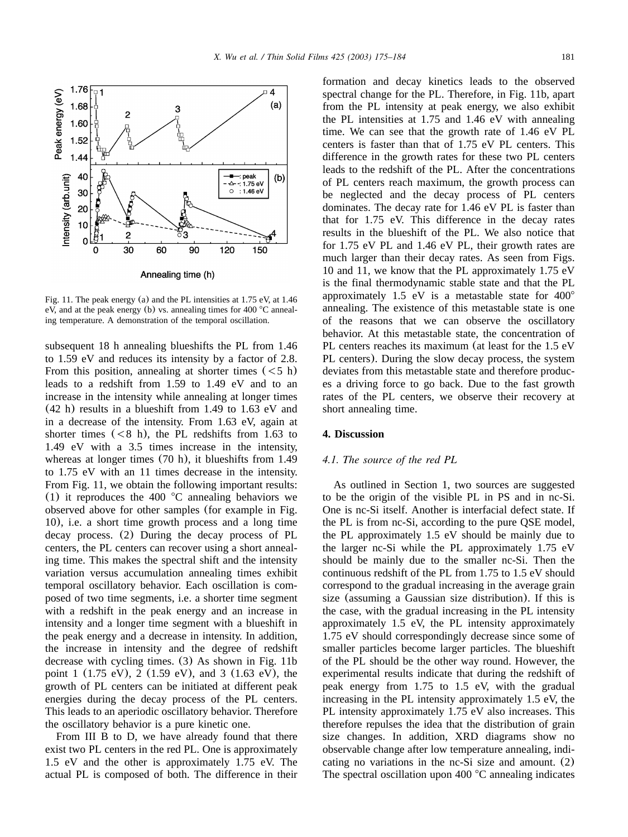<span id="page-6-0"></span>

Fig. 11. The peak energy (a) and the PL intensities at 1.75 eV, at 1.46 eV, and at the peak energy (b) vs. annealing times for 400  $^{\circ}$ C annealing temperature. A demonstration of the temporal oscillation.

subsequent 18 h annealing blueshifts the PL from 1.46 to 1.59 eV and reduces its intensity by a factor of 2.8. From this position, annealing at shorter times  $(< 5 h)$ leads to a redshift from 1.59 to 1.49 eV and to an increase in the intensity while annealing at longer times (42 h) results in a blueshift from 1.49 to 1.63 eV and in a decrease of the intensity. From 1.63 eV, again at shorter times  $(< 8 \text{ h})$ , the PL redshifts from 1.63 to 1.49 eV with a 3.5 times increase in the intensity, whereas at longer times (70 h), it blueshifts from 1.49 to 1.75 eV with an 11 times decrease in the intensity. From Fig. 11, we obtain the following important results: (1) it reproduces the 400  $^{\circ}$ C annealing behaviors we observed above for other samples (for example in [Fig.](#page-5-0) [10](#page-5-0)), i.e. a short time growth process and a long time decay process. (2) During the decay process of PL centers, the PL centers can recover using a short annealing time. This makes the spectral shift and the intensity variation versus accumulation annealing times exhibit temporal oscillatory behavior. Each oscillation is composed of two time segments, i.e. a shorter time segment with a redshift in the peak energy and an increase in intensity and a longer time segment with a blueshift in the peak energy and a decrease in intensity. In addition, the increase in intensity and the degree of redshift decrease with cycling times. (3) As shown in Fig. 11b point 1 (1.75 eV), 2 (1.59 eV), and 3 (1.63 eV), the growth of PL centers can be initiated at different peak energies during the decay process of the PL centers. This leads to an aperiodic oscillatory behavior. Therefore the oscillatory behavior is a pure kinetic one.

From III B to D, we have already found that there exist two PL centers in the red PL. One is approximately 1.5 eV and the other is approximately 1.75 eV. The actual PL is composed of both. The difference in their formation and decay kinetics leads to the observed spectral change for the PL. Therefore, in Fig. 11b, apart from the PL intensity at peak energy, we also exhibit the PL intensities at 1.75 and 1.46 eV with annealing time. We can see that the growth rate of 1.46 eV PL centers is faster than that of 1.75 eV PL centers. This difference in the growth rates for these two PL centers leads to the redshift of the PL. After the concentrations of PL centers reach maximum, the growth process can be neglected and the decay process of PL centers dominates. The decay rate for 1.46 eV PL is faster than that for 1.75 eV. This difference in the decay rates results in the blueshift of the PL. We also notice that for 1.75 eV PL and 1.46 eV PL, their growth rates are much larger than their decay rates. As seen from [Figs.](#page-5-0) [10 and 11,](#page-5-0) we know that the PL approximately 1.75 eV is the final thermodynamic stable state and that the PL approximately 1.5 eV is a metastable state for  $400^{\circ}$ annealing. The existence of this metastable state is one of the reasons that we can observe the oscillatory behavior. At this metastable state, the concentration of PL centers reaches its maximum (at least for the 1.5 eV PL centers). During the slow decay process, the system deviates from this metastable state and therefore produces a driving force to go back. Due to the fast growth rates of the PL centers, we observe their recovery at short annealing time.

## **4. Discussion**

## *4.1. The source of the red PL*

As outlined in [Section 1,](#page-0-0) two sources are suggested to be the origin of the visible PL in PS and in nc-Si. One is nc-Si itself. Another is interfacial defect state. If the PL is from nc-Si, according to the pure QSE model, the PL approximately 1.5 eV should be mainly due to the larger nc-Si while the PL approximately 1.75 eV should be mainly due to the smaller nc-Si. Then the continuous redshift of the PL from 1.75 to 1.5 eV should correspond to the gradual increasing in the average grain size (assuming a Gaussian size distribution). If this is the case, with the gradual increasing in the PL intensity approximately 1.5 eV, the PL intensity approximately 1.75 eV should correspondingly decrease since some of smaller particles become larger particles. The blueshift of the PL should be the other way round. However, the experimental results indicate that during the redshift of peak energy from 1.75 to 1.5 eV, with the gradual increasing in the PL intensity approximately 1.5 eV, the PL intensity approximately 1.75 eV also increases. This therefore repulses the idea that the distribution of grain size changes. In addition, XRD diagrams show no observable change after low temperature annealing, indicating no variations in the nc-Si size and amount. (2) The spectral oscillation upon  $400^{\circ}$ C annealing indicates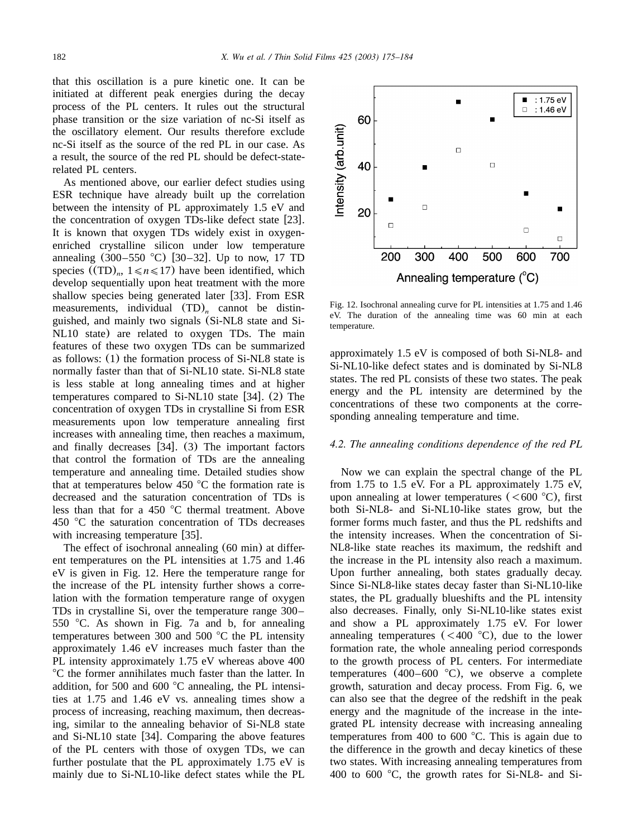that this oscillation is a pure kinetic one. It can be initiated at different peak energies during the decay process of the PL centers. It rules out the structural phase transition or the size variation of nc-Si itself as the oscillatory element. Our results therefore exclude nc-Si itself as the source of the red PL in our case. As a result, the source of the red PL should be defect-staterelated PL centers.

As mentioned above, our earlier defect studies using ESR technique have already built up the correlation between the intensity of PL approximately 1.5 eV and the concentration of oxygen TDs-like defect state  $[23]$  $[23]$  $[23]$ . It is known that oxygen TDs widely exist in oxygenenriched crystalline silicon under low temperature annealing  $(300-550 \degree C)$  [30-32]. Up to now, 17 TD species  $((TD)_n, 1 \le n \le 17)$  have been identified, which develop sequentially upon heat treatment with the more shallow species being generated later [[33](#page-9-0)]. From ESR measurements, individual  $(TD)$ <sub>n</sub> cannot be distinguished, and mainly two signals (Si-NL8 state and Si-NL10 state) are related to oxygen TDs. The main features of these two oxygen TDs can be summarized as follows: (1) the formation process of Si-NL8 state is normally faster than that of Si-NL10 state. Si-NL8 state is less stable at long annealing times and at higher temperatures compared to  $Si-NL10$  state [[34](#page-9-0)]. (2) The concentration of oxygen TDs in crystalline Si from ESR measurements upon low temperature annealing first increases with annealing time, then reaches a maximum, and finally decreases  $[34]$  $[34]$  $[34]$ . (3) The important factors that control the formation of TDs are the annealing temperature and annealing time. Detailed studies show that at temperatures below 450  $^{\circ}$ C the formation rate is decreased and the saturation concentration of TDs is less than that for a 450  $\degree$ C thermal treatment. Above 450 °C the saturation concentration of TDs decreases with increasing temperature [[35](#page-9-0)].

The effect of isochronal annealing (60 min) at different temperatures on the PL intensities at 1.75 and 1.46 eV is given in Fig. 12. Here the temperature range for the increase of the PL intensity further shows a correlation with the formation temperature range of oxygen TDs in crystalline Si, over the temperature range 300– 550 °C. As shown in [Fig. 7a](#page-4-0) and b, for annealing temperatures between 300 and 500  $^{\circ}$ C the PL intensity approximately 1.46 eV increases much faster than the PL intensity approximately 1.75 eV whereas above 400 8C the former annihilates much faster than the latter. In addition, for 500 and 600  $^{\circ}$ C annealing, the PL intensities at 1.75 and 1.46 eV vs. annealing times show a process of increasing, reaching maximum, then decreasing, similar to the annealing behavior of Si-NL8 state and  $Si-NL10$  state [[34](#page-9-0)]. Comparing the above features of the PL centers with those of oxygen TDs, we can further postulate that the PL approximately 1.75 eV is mainly due to Si-NL10-like defect states while the PL



Fig. 12. Isochronal annealing curve for PL intensities at 1.75 and 1.46 eV. The duration of the annealing time was 60 min at each temperature.

approximately 1.5 eV is composed of both Si-NL8- and Si-NL10-like defect states and is dominated by Si-NL8 states. The red PL consists of these two states. The peak energy and the PL intensity are determined by the concentrations of these two components at the corresponding annealing temperature and time.

## *4.2. The annealing conditions dependence of the red PL*

Now we can explain the spectral change of the PL from 1.75 to 1.5 eV. For a PL approximately 1.75 eV, upon annealing at lower temperatures ( $< 600 \degree C$ ), first both Si-NL8- and Si-NL10-like states grow, but the former forms much faster, and thus the PL redshifts and the intensity increases. When the concentration of Si-NL8-like state reaches its maximum, the redshift and the increase in the PL intensity also reach a maximum. Upon further annealing, both states gradually decay. Since Si-NL8-like states decay faster than Si-NL10-like states, the PL gradually blueshifts and the PL intensity also decreases. Finally, only Si-NL10-like states exist and show a PL approximately 1.75 eV. For lower annealing temperatures  $(< 400 \degree C)$ , due to the lower formation rate, the whole annealing period corresponds to the growth process of PL centers. For intermediate temperatures  $(400-600 \degree C)$ , we observe a complete growth, saturation and decay process. From [Fig. 6,](#page-3-0) we can also see that the degree of the redshift in the peak energy and the magnitude of the increase in the integrated PL intensity decrease with increasing annealing temperatures from 400 to 600 $^{\circ}$ C. This is again due to the difference in the growth and decay kinetics of these two states. With increasing annealing temperatures from 400 to 600  $\degree$ C, the growth rates for Si-NL8- and Si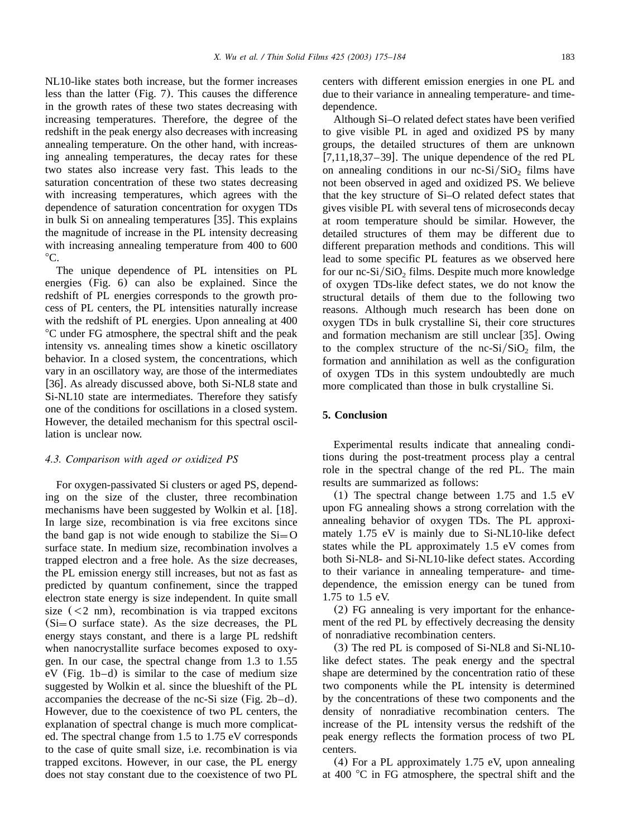NL10-like states both increase, but the former increases less than the latter ([Fig. 7](#page-4-0)). This causes the difference in the growth rates of these two states decreasing with increasing temperatures. Therefore, the degree of the redshift in the peak energy also decreases with increasing annealing temperature. On the other hand, with increasing annealing temperatures, the decay rates for these two states also increase very fast. This leads to the saturation concentration of these two states decreasing with increasing temperatures, which agrees with the dependence of saturation concentration for oxygen TDs in bulk Si on annealing temperatures  $\left[35\right]$  $\left[35\right]$  $\left[35\right]$ . This explains the magnitude of increase in the PL intensity decreasing with increasing annealing temperature from 400 to 600  $^{\circ}C$ .

The unique dependence of PL intensities on PL energies ([Fig. 6](#page-3-0)) can also be explained. Since the redshift of PL energies corresponds to the growth process of PL centers, the PL intensities naturally increase with the redshift of PL energies. Upon annealing at 400 8C under FG atmosphere, the spectral shift and the peak intensity vs. annealing times show a kinetic oscillatory behavior. In a closed system, the concentrations, which vary in an oscillatory way, are those of the intermediates [[36](#page-9-0)]. As already discussed above, both Si-NL8 state and Si-NL10 state are intermediates. Therefore they satisfy one of the conditions for oscillations in a closed system. However, the detailed mechanism for this spectral oscillation is unclear now.

#### *4.3. Comparison with aged or oxidized PS*

For oxygen-passivated Si clusters or aged PS, depending on the size of the cluster, three recombination mechanisms have been suggested by Wolkin et al. [[18](#page-9-0)]. In large size, recombination is via free excitons since the band gap is not wide enough to stabilize the  $Si = O$ surface state. In medium size, recombination involves a trapped electron and a free hole. As the size decreases, the PL emission energy still increases, but not as fast as predicted by quantum confinement, since the trapped electron state energy is size independent. In quite small size  $(< 2 \text{ nm})$ , recombination is via trapped excitons  $(S_i=O \text{ surface state})$ . As the size decreases, the PL energy stays constant, and there is a large PL redshift when nanocrystallite surface becomes exposed to oxygen. In our case, the spectral change from 1.3 to 1.55 eV ([Fig. 1b](#page-1-0)–d) is similar to the case of medium size suggested by Wolkin et al. since the blueshift of the PL accompanies the decrease of the nc-Si size ([Fig. 2b](#page-2-0)–d). However, due to the coexistence of two PL centers, the explanation of spectral change is much more complicated. The spectral change from 1.5 to 1.75 eV corresponds to the case of quite small size, i.e. recombination is via trapped excitons. However, in our case, the PL energy does not stay constant due to the coexistence of two PL

centers with different emission energies in one PL and due to their variance in annealing temperature- and timedependence.

Although Si–O related defect states have been verified to give visible PL in aged and oxidized PS by many groups, the detailed structures of them are unknown  $[7,11,18,37-39]$ . The unique dependence of the red PL on annealing conditions in our  $nc-Si/SiO<sub>2</sub>$  films have not been observed in aged and oxidized PS. We believe that the key structure of Si–O related defect states that gives visible PL with several tens of microseconds decay at room temperature should be similar. However, the detailed structures of them may be different due to different preparation methods and conditions. This will lead to some specific PL features as we observed here for our nc-Si $\frac{Si}{SiO_2}$  films. Despite much more knowledge of oxygen TDs-like defect states, we do not know the structural details of them due to the following two reasons. Although much research has been done on oxygen TDs in bulk crystalline Si, their core structures and formation mechanism are still unclear  $[35]$  $[35]$  $[35]$ . Owing to the complex structure of the  $nc-Si/SiO_2$  film, the formation and annihilation as well as the configuration of oxygen TDs in this system undoubtedly are much more complicated than those in bulk crystalline Si.

## **5. Conclusion**

Experimental results indicate that annealing conditions during the post-treatment process play a central role in the spectral change of the red PL. The main results are summarized as follows:

(1) The spectral change between 1.75 and 1.5 eV upon FG annealing shows a strong correlation with the annealing behavior of oxygen TDs. The PL approximately 1.75 eV is mainly due to Si-NL10-like defect states while the PL approximately 1.5 eV comes from both Si-NL8- and Si-NL10-like defect states. According to their variance in annealing temperature- and timedependence, the emission energy can be tuned from 1.75 to 1.5 eV.

(2) FG annealing is very important for the enhancement of the red PL by effectively decreasing the density of nonradiative recombination centers.

(3) The red PL is composed of Si-NL8 and Si-NL10 like defect states. The peak energy and the spectral shape are determined by the concentration ratio of these two components while the PL intensity is determined by the concentrations of these two components and the density of nonradiative recombination centers. The increase of the PL intensity versus the redshift of the peak energy reflects the formation process of two PL centers.

(4) For a PL approximately 1.75 eV, upon annealing at 400  $\degree$ C in FG atmosphere, the spectral shift and the